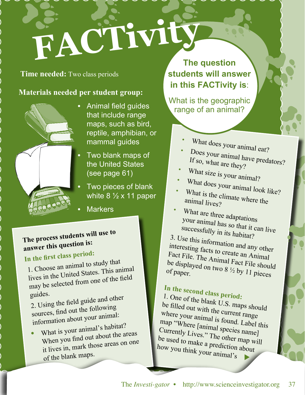# **FACTiv**

#### **Time needed:** Two class periods

### **Materials needed per student group:**



- Animal field guides that include range maps, such as bird, reptile, amphibian, or mammal guides
	- Two blank maps of the United States (see page 61)
	- Two pieces of blank white  $8\frac{1}{2} \times 11$  paper
- **Markers**

## **The process students will use to answer this question is:**

# **In the first class period:**

1. Choose an animal to study that lives in the United States. This animal may be selected from one of the field guides.

2. Using the field guide and other sources, find out the following information about your animal:

**•** What is your animal's habitat? When you find out about the areas it lives in, mark those areas on one of the blank maps.

**The question students will answer in this FACTivity is**:

What is the geographic range of an animal?

- •What does your animal eat?
- •Does your animal have predators? If so, what are they?
- •
- What size is your animal? •
- What does your animal look like? •What is the climate where the animal lives?
- •What are three adaptations your animal has so that it can live successfully in its habitat?

3. Use this information and any other interesting facts to create an Animal Fact File. The Animal Fact File should<br>be displayed on two 8  $\frac{1}{2}$  by 11 pieces be displayed on two  $8\frac{1}{2}$  by 11 pieces

# **In the second class period:**

1. One of the blank U.S. maps should be filled out with the current range where your animal is found. Label this map "Where [animal species name] Currently Lives." The other map will be used to make a prediction about how you think your animal's u